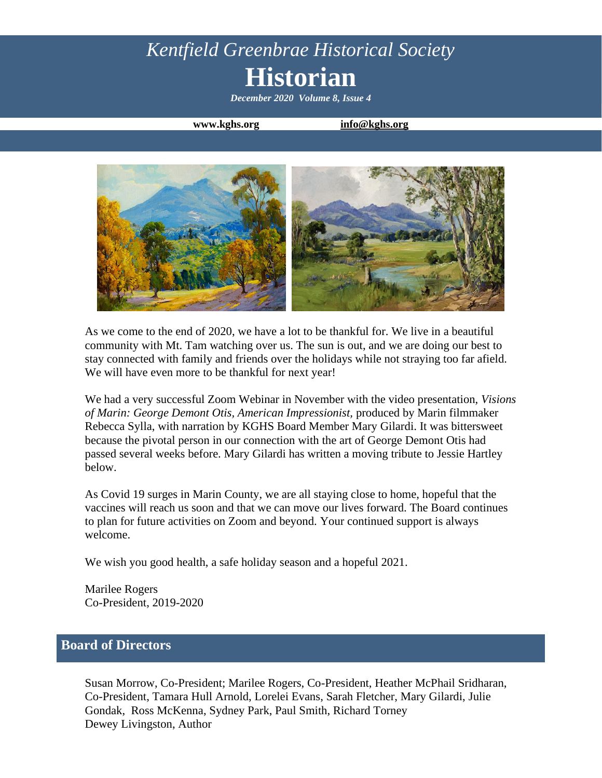# *Kentfield Greenbrae Historical Society* **Historian**

*December 2020 Volume 8, Issue 4*

**www.kghs.org [info@kghs.org](mailto:info@kghs.org)**



As we come to the end of 2020, we have a lot to be thankful for. We live in a beautiful community with Mt. Tam watching over us. The sun is out, and we are doing our best to stay connected with family and friends over the holidays while not straying too far afield. We will have even more to be thankful for next year!

We had a very successful Zoom Webinar in November with the video presentation, *Visions of Marin: George Demont Otis, American Impressionist,* produced by Marin filmmaker Rebecca Sylla, with narration by KGHS Board Member Mary Gilardi. It was bittersweet because the pivotal person in our connection with the art of George Demont Otis had passed several weeks before. Mary Gilardi has written a moving tribute to Jessie Hartley below.

As Covid 19 surges in Marin County, we are all staying close to home, hopeful that the vaccines will reach us soon and that we can move our lives forward. The Board continues to plan for future activities on Zoom and beyond. Your continued support is always welcome.

We wish you good health, a safe holiday season and a hopeful 2021.

Marilee Rogers Co-President, 2019-2020

### **Board of Directors**

Susan Morrow, Co-President; Marilee Rogers, Co-President, Heather McPhail Sridharan, Co-President, Tamara Hull Arnold, Lorelei Evans, Sarah Fletcher, Mary Gilardi, Julie Gondak, Ross McKenna, Sydney Park, Paul Smith, Richard Torney Dewey Livingston, Author